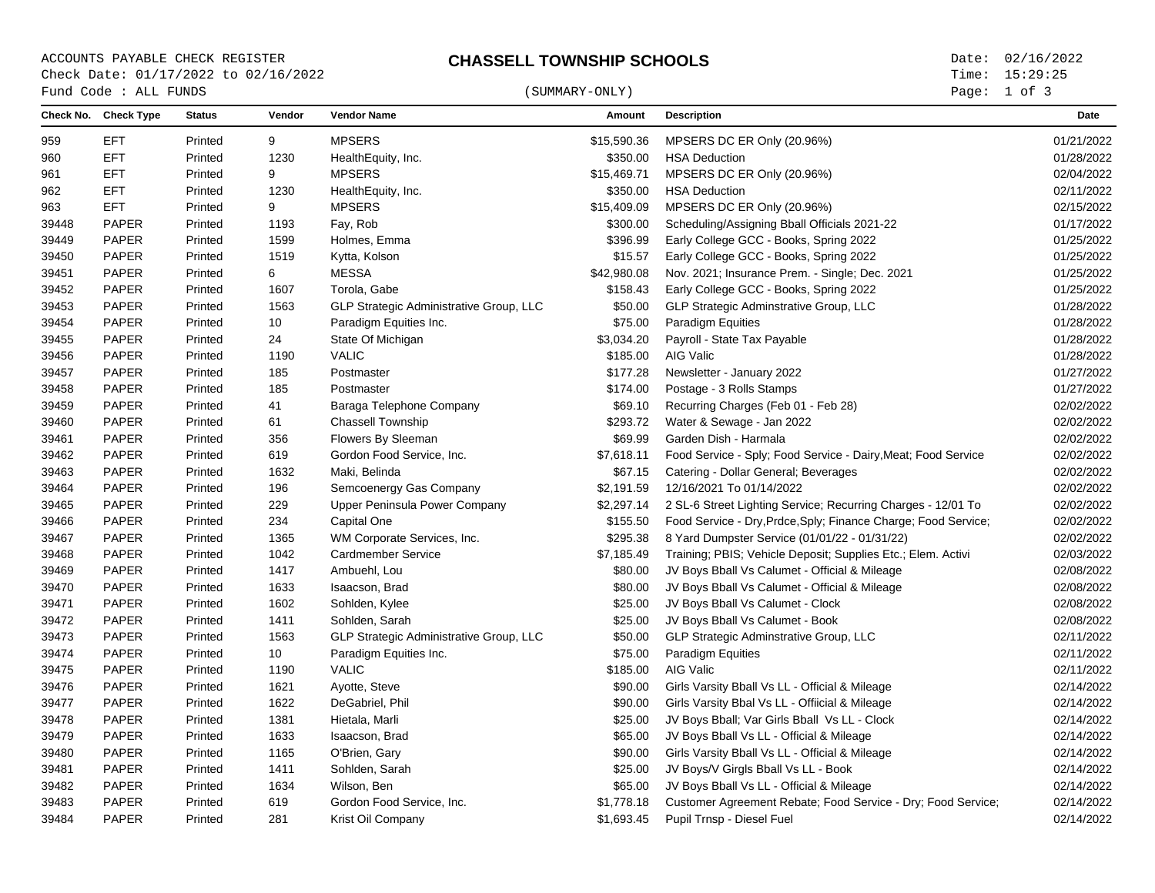ACCOUNTS PAYABLE CHECK REGISTER **CHASSELL TOWNSHIP SCHOOLS** Date: 02/16/2022 Check Date: 01/17/2022 to 02/16/2022

Page: 1 of 3

| Fund Code : ALL FUNDS |                      |               |        | (SUMMARY-ONLY)                          |             |                                                                | Page: 1 of 3 |  |
|-----------------------|----------------------|---------------|--------|-----------------------------------------|-------------|----------------------------------------------------------------|--------------|--|
|                       | Check No. Check Type | <b>Status</b> | Vendor | <b>Vendor Name</b>                      | Amount      | <b>Description</b>                                             | Date         |  |
| 959                   | EFT.                 | Printed       | 9      | <b>MPSERS</b>                           | \$15,590.36 | MPSERS DC ER Only (20.96%)                                     | 01/21/2022   |  |
| 960                   | EFT                  | Printed       | 1230   | HealthEquity, Inc.                      | \$350.00    | <b>HSA Deduction</b>                                           | 01/28/2022   |  |
| 961                   | EFT                  | Printed       | 9      | <b>MPSERS</b>                           | \$15,469.71 | MPSERS DC ER Only (20.96%)                                     | 02/04/2022   |  |
| 962                   | EFT.                 | Printed       | 1230   | HealthEquity, Inc.                      | \$350.00    | <b>HSA Deduction</b>                                           | 02/11/2022   |  |
| 963                   | EFT.                 | Printed       | 9      | <b>MPSERS</b>                           | \$15,409.09 | MPSERS DC ER Only (20.96%)                                     | 02/15/2022   |  |
| 39448                 | <b>PAPER</b>         | Printed       | 1193   | Fay, Rob                                | \$300.00    | Scheduling/Assigning Bball Officials 2021-22                   | 01/17/2022   |  |
| 39449                 | <b>PAPER</b>         | Printed       | 1599   | Holmes, Emma                            | \$396.99    | Early College GCC - Books, Spring 2022                         | 01/25/2022   |  |
| 39450                 | <b>PAPER</b>         | Printed       | 1519   | Kytta, Kolson                           | \$15.57     | Early College GCC - Books, Spring 2022                         | 01/25/2022   |  |
| 39451                 | <b>PAPER</b>         | Printed       | 6      | <b>MESSA</b>                            | \$42,980.08 | Nov. 2021; Insurance Prem. - Single; Dec. 2021                 | 01/25/2022   |  |
| 39452                 | <b>PAPER</b>         | Printed       | 1607   | Torola, Gabe                            | \$158.43    | Early College GCC - Books, Spring 2022                         | 01/25/2022   |  |
| 39453                 | <b>PAPER</b>         | Printed       | 1563   | GLP Strategic Administrative Group, LLC | \$50.00     | GLP Strategic Adminstrative Group, LLC                         | 01/28/2022   |  |
| 39454                 | <b>PAPER</b>         | Printed       | 10     | Paradigm Equities Inc.                  | \$75.00     | Paradigm Equities                                              | 01/28/2022   |  |
| 39455                 | <b>PAPER</b>         | Printed       | 24     | State Of Michigan                       | \$3,034.20  | Payroll - State Tax Payable                                    | 01/28/2022   |  |
| 39456                 | <b>PAPER</b>         | Printed       | 1190   | <b>VALIC</b>                            | \$185.00    | AIG Valic                                                      | 01/28/2022   |  |
| 39457                 | <b>PAPER</b>         | Printed       | 185    | Postmaster                              | \$177.28    | Newsletter - January 2022                                      | 01/27/2022   |  |
| 39458                 | <b>PAPER</b>         | Printed       | 185    | Postmaster                              | \$174.00    | Postage - 3 Rolls Stamps                                       | 01/27/2022   |  |
| 39459                 | <b>PAPER</b>         | Printed       | 41     | Baraga Telephone Company                | \$69.10     | Recurring Charges (Feb 01 - Feb 28)                            | 02/02/2022   |  |
| 39460                 | <b>PAPER</b>         | Printed       | 61     | Chassell Township                       | \$293.72    | Water & Sewage - Jan 2022                                      | 02/02/2022   |  |
| 39461                 | <b>PAPER</b>         | Printed       | 356    | Flowers By Sleeman                      | \$69.99     | Garden Dish - Harmala                                          | 02/02/2022   |  |
| 39462                 | <b>PAPER</b>         | Printed       | 619    | Gordon Food Service, Inc.               | \$7,618.11  | Food Service - Sply; Food Service - Dairy, Meat; Food Service  | 02/02/2022   |  |
| 39463                 | <b>PAPER</b>         | Printed       | 1632   | Maki, Belinda                           | \$67.15     | Catering - Dollar General; Beverages                           | 02/02/2022   |  |
| 39464                 | <b>PAPER</b>         | Printed       | 196    | Semcoenergy Gas Company                 | \$2,191.59  | 12/16/2021 To 01/14/2022                                       | 02/02/2022   |  |
| 39465                 | <b>PAPER</b>         | Printed       | 229    | Upper Peninsula Power Company           | \$2,297.14  | 2 SL-6 Street Lighting Service; Recurring Charges - 12/01 To   | 02/02/2022   |  |
| 39466                 | <b>PAPER</b>         | Printed       | 234    | Capital One                             | \$155.50    | Food Service - Dry, Prdce, Sply; Finance Charge; Food Service; | 02/02/2022   |  |
| 39467                 | <b>PAPER</b>         | Printed       | 1365   | WM Corporate Services, Inc.             | \$295.38    | 8 Yard Dumpster Service (01/01/22 - 01/31/22)                  | 02/02/2022   |  |
| 39468                 | <b>PAPER</b>         | Printed       | 1042   | Cardmember Service                      | \$7,185.49  | Training; PBIS; Vehicle Deposit; Supplies Etc.; Elem. Activi   | 02/03/2022   |  |
| 39469                 | <b>PAPER</b>         | Printed       | 1417   | Ambuehl, Lou                            | \$80.00     | JV Boys Bball Vs Calumet - Official & Mileage                  | 02/08/2022   |  |
| 39470                 | <b>PAPER</b>         | Printed       | 1633   | Isaacson, Brad                          | \$80.00     | JV Boys Bball Vs Calumet - Official & Mileage                  | 02/08/2022   |  |
| 39471                 | <b>PAPER</b>         | Printed       | 1602   | Sohlden, Kylee                          | \$25.00     | JV Boys Bball Vs Calumet - Clock                               | 02/08/2022   |  |
| 39472                 | <b>PAPER</b>         | Printed       | 1411   | Sohlden, Sarah                          | \$25.00     | JV Boys Bball Vs Calumet - Book                                | 02/08/2022   |  |
| 39473                 | <b>PAPER</b>         | Printed       | 1563   | GLP Strategic Administrative Group, LLC | \$50.00     | GLP Strategic Adminstrative Group, LLC                         | 02/11/2022   |  |
| 39474                 | <b>PAPER</b>         | Printed       | 10     | Paradigm Equities Inc.                  | \$75.00     | Paradigm Equities                                              | 02/11/2022   |  |
| 39475                 | <b>PAPER</b>         | Printed       | 1190   | <b>VALIC</b>                            | \$185.00    | AIG Valic                                                      | 02/11/2022   |  |
| 39476                 | <b>PAPER</b>         | Printed       | 1621   | Ayotte, Steve                           | \$90.00     | Girls Varsity Bball Vs LL - Official & Mileage                 | 02/14/2022   |  |
| 39477                 | <b>PAPER</b>         | Printed       | 1622   | DeGabriel, Phil                         | \$90.00     | Girls Varsity Bbal Vs LL - Offiicial & Mileage                 | 02/14/2022   |  |
| 39478                 | <b>PAPER</b>         | Printed       | 1381   | Hietala, Marli                          | \$25.00     | JV Boys Bball; Var Girls Bball Vs LL - Clock                   | 02/14/2022   |  |
| 39479                 | <b>PAPER</b>         | Printed       | 1633   | Isaacson, Brad                          | \$65.00     | JV Boys Bball Vs LL - Official & Mileage                       | 02/14/2022   |  |
| 39480                 | <b>PAPER</b>         | Printed       | 1165   | O'Brien, Gary                           | \$90.00     | Girls Varsity Bball Vs LL - Official & Mileage                 | 02/14/2022   |  |
| 39481                 | <b>PAPER</b>         | Printed       | 1411   | Sohlden, Sarah                          | \$25.00     | JV Boys/V Girgls Bball Vs LL - Book                            | 02/14/2022   |  |
| 39482                 | <b>PAPER</b>         | Printed       | 1634   | Wilson, Ben                             | \$65.00     | JV Boys Bball Vs LL - Official & Mileage                       | 02/14/2022   |  |
| 39483                 | <b>PAPER</b>         | Printed       | 619    | Gordon Food Service, Inc.               | \$1,778.18  | Customer Agreement Rebate; Food Service - Dry; Food Service;   | 02/14/2022   |  |
| 39484                 | <b>PAPER</b>         | Printed       | 281    | Krist Oil Company                       | \$1,693.45  | Pupil Trnsp - Diesel Fuel                                      | 02/14/2022   |  |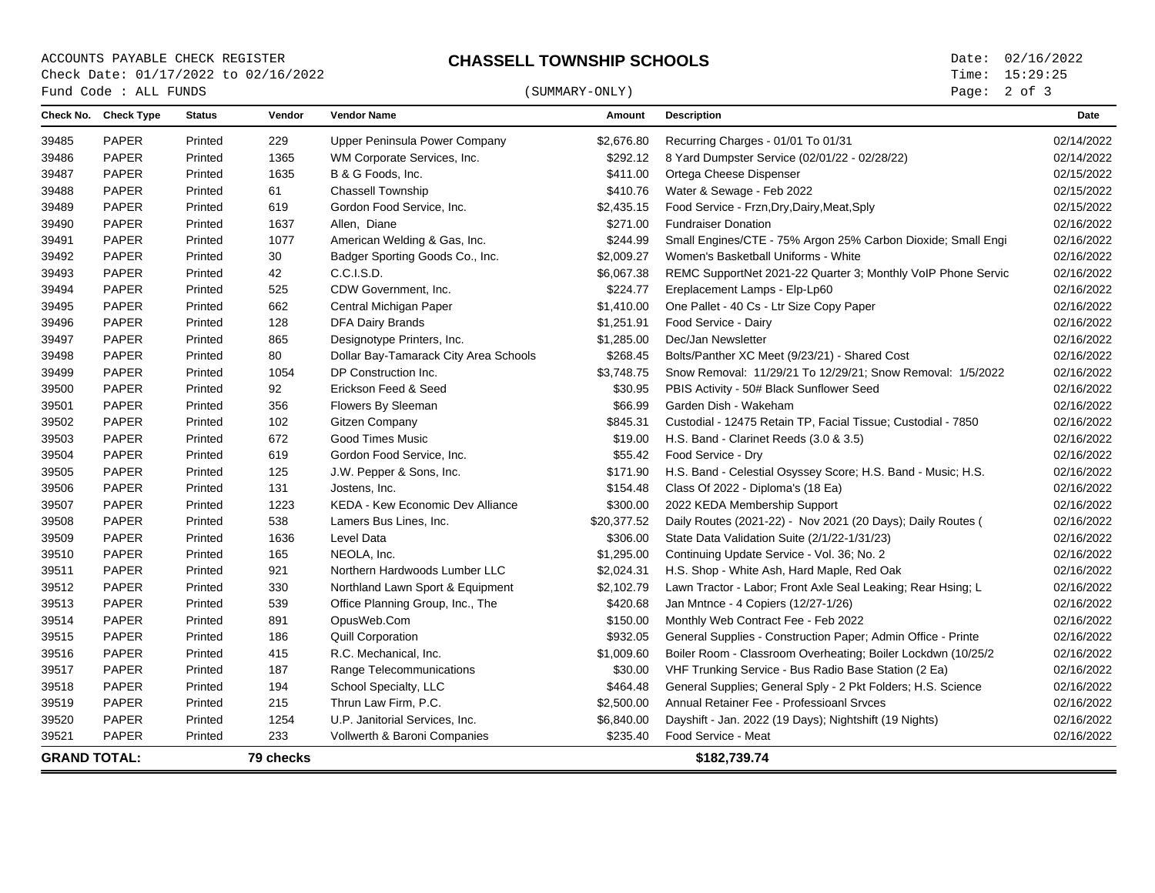# ACCOUNTS PAYABLE CHECK REGISTER<br>
C**HASSELL TOWNSHIP SCHOOLS**<br>
Check Date: 01/17/2022 to 02/16/2022<br>
Time: 15:29:25 Check Date: 01/17/2022 to 02/16/2022

## $\begin{array}{cccc}\n\texttt{Fund Code : ALL FUNDS}\n\end{array}\n\tag{SUMMARY-ONLY}$

Page: 2 of 3

|                     | Check No. Check Type | <b>Status</b> | Vendor    | <b>Vendor Name</b>                    | Amount      | <b>Description</b>                                           | Date       |
|---------------------|----------------------|---------------|-----------|---------------------------------------|-------------|--------------------------------------------------------------|------------|
| 39485               | <b>PAPER</b>         | Printed       | 229       | Upper Peninsula Power Company         | \$2,676.80  | Recurring Charges - 01/01 To 01/31                           | 02/14/2022 |
| 39486               | PAPER                | Printed       | 1365      | WM Corporate Services, Inc.           | \$292.12    | 8 Yard Dumpster Service (02/01/22 - 02/28/22)                | 02/14/2022 |
| 39487               | <b>PAPER</b>         | Printed       | 1635      | B & G Foods, Inc.                     | \$411.00    | Ortega Cheese Dispenser                                      | 02/15/2022 |
| 39488               | <b>PAPER</b>         | Printed       | 61        | Chassell Township                     | \$410.76    | Water & Sewage - Feb 2022                                    | 02/15/2022 |
| 39489               | <b>PAPER</b>         | Printed       | 619       | Gordon Food Service, Inc.             | \$2,435.15  | Food Service - Frzn, Dry, Dairy, Meat, Sply                  | 02/15/2022 |
| 39490               | <b>PAPER</b>         | Printed       | 1637      | Allen, Diane                          | \$271.00    | <b>Fundraiser Donation</b>                                   | 02/16/2022 |
| 39491               | <b>PAPER</b>         | Printed       | 1077      | American Welding & Gas, Inc.          | \$244.99    | Small Engines/CTE - 75% Argon 25% Carbon Dioxide; Small Engi | 02/16/2022 |
| 39492               | <b>PAPER</b>         | Printed       | 30        | Badger Sporting Goods Co., Inc.       | \$2,009.27  | Women's Basketball Uniforms - White                          | 02/16/2022 |
| 39493               | PAPER                | Printed       | 42        | C.C.I.S.D.                            | \$6,067.38  | REMC SupportNet 2021-22 Quarter 3; Monthly VoIP Phone Servic | 02/16/2022 |
| 39494               | PAPER                | Printed       | 525       | CDW Government, Inc.                  | \$224.77    | Ereplacement Lamps - Elp-Lp60                                | 02/16/2022 |
| 39495               | <b>PAPER</b>         | Printed       | 662       | Central Michigan Paper                | \$1,410.00  | One Pallet - 40 Cs - Ltr Size Copy Paper                     | 02/16/2022 |
| 39496               | <b>PAPER</b>         | Printed       | 128       | <b>DFA Dairy Brands</b>               | \$1,251.91  | Food Service - Dairy                                         | 02/16/2022 |
| 39497               | <b>PAPER</b>         | Printed       | 865       | Designotype Printers, Inc.            | \$1,285.00  | Dec/Jan Newsletter                                           | 02/16/2022 |
| 39498               | <b>PAPER</b>         | Printed       | 80        | Dollar Bay-Tamarack City Area Schools | \$268.45    | Bolts/Panther XC Meet (9/23/21) - Shared Cost                | 02/16/2022 |
| 39499               | PAPER                | Printed       | 1054      | DP Construction Inc.                  | \$3,748.75  | Snow Removal: 11/29/21 To 12/29/21; Snow Removal: 1/5/2022   | 02/16/2022 |
| 39500               | <b>PAPER</b>         | Printed       | 92        | Erickson Feed & Seed                  | \$30.95     | PBIS Activity - 50# Black Sunflower Seed                     | 02/16/2022 |
| 39501               | <b>PAPER</b>         | Printed       | 356       | Flowers By Sleeman                    | \$66.99     | Garden Dish - Wakeham                                        | 02/16/2022 |
| 39502               | <b>PAPER</b>         | Printed       | 102       | <b>Gitzen Company</b>                 | \$845.31    | Custodial - 12475 Retain TP, Facial Tissue; Custodial - 7850 | 02/16/2022 |
| 39503               | <b>PAPER</b>         | Printed       | 672       | <b>Good Times Music</b>               | \$19.00     | H.S. Band - Clarinet Reeds (3.0 & 3.5)                       | 02/16/2022 |
| 39504               | PAPER                | Printed       | 619       | Gordon Food Service, Inc.             | \$55.42     | Food Service - Dry                                           | 02/16/2022 |
| 39505               | <b>PAPER</b>         | Printed       | 125       | J.W. Pepper & Sons, Inc.              | \$171.90    | H.S. Band - Celestial Osyssey Score; H.S. Band - Music; H.S. | 02/16/2022 |
| 39506               | PAPER                | Printed       | 131       | Jostens, Inc.                         | \$154.48    | Class Of 2022 - Diploma's (18 Ea)                            | 02/16/2022 |
| 39507               | <b>PAPER</b>         | Printed       | 1223      | KEDA - Kew Economic Dev Alliance      | \$300.00    | 2022 KEDA Membership Support                                 | 02/16/2022 |
| 39508               | <b>PAPER</b>         | Printed       | 538       | Lamers Bus Lines, Inc.                | \$20,377.52 | Daily Routes (2021-22) - Nov 2021 (20 Days); Daily Routes (  | 02/16/2022 |
| 39509               | <b>PAPER</b>         | Printed       | 1636      | Level Data                            | \$306.00    | State Data Validation Suite (2/1/22-1/31/23)                 | 02/16/2022 |
| 39510               | <b>PAPER</b>         | Printed       | 165       | NEOLA. Inc.                           | \$1,295.00  | Continuing Update Service - Vol. 36; No. 2                   | 02/16/2022 |
| 39511               | <b>PAPER</b>         | Printed       | 921       | Northern Hardwoods Lumber LLC         | \$2,024.31  | H.S. Shop - White Ash, Hard Maple, Red Oak                   | 02/16/2022 |
| 39512               | <b>PAPER</b>         | Printed       | 330       | Northland Lawn Sport & Equipment      | \$2,102.79  | Lawn Tractor - Labor; Front Axle Seal Leaking; Rear Hsing; L | 02/16/2022 |
| 39513               | PAPER                | Printed       | 539       | Office Planning Group, Inc., The      | \$420.68    | Jan Mntnce - 4 Copiers (12/27-1/26)                          | 02/16/2022 |
| 39514               | <b>PAPER</b>         | Printed       | 891       | OpusWeb.Com                           | \$150.00    | Monthly Web Contract Fee - Feb 2022                          | 02/16/2022 |
| 39515               | PAPER                | Printed       | 186       | <b>Quill Corporation</b>              | \$932.05    | General Supplies - Construction Paper; Admin Office - Printe | 02/16/2022 |
| 39516               | <b>PAPER</b>         | Printed       | 415       | R.C. Mechanical, Inc.                 | \$1,009.60  | Boiler Room - Classroom Overheating; Boiler Lockdwn (10/25/2 | 02/16/2022 |
| 39517               | <b>PAPER</b>         | Printed       | 187       | Range Telecommunications              | \$30.00     | VHF Trunking Service - Bus Radio Base Station (2 Ea)         | 02/16/2022 |
| 39518               | PAPER                | Printed       | 194       | School Specialty, LLC                 | \$464.48    | General Supplies; General Sply - 2 Pkt Folders; H.S. Science | 02/16/2022 |
| 39519               | <b>PAPER</b>         | Printed       | 215       | Thrun Law Firm, P.C.                  | \$2,500.00  | Annual Retainer Fee - Professioanl Sryces                    | 02/16/2022 |
| 39520               | PAPER                | Printed       | 1254      | U.P. Janitorial Services, Inc.        | \$6,840.00  | Dayshift - Jan. 2022 (19 Days); Nightshift (19 Nights)       | 02/16/2022 |
| 39521               | <b>PAPER</b>         | Printed       | 233       | Vollwerth & Baroni Companies          | \$235.40    | Food Service - Meat                                          | 02/16/2022 |
| <b>GRAND TOTAL:</b> |                      |               | 79 checks |                                       |             | \$182,739.74                                                 |            |